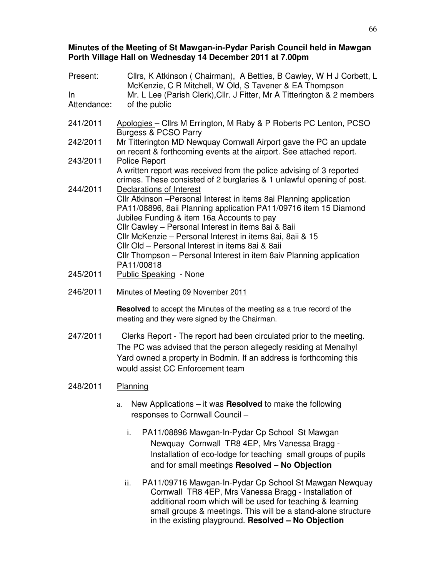#### **Minutes of the Meeting of St Mawgan-in-Pydar Parish Council held in Mawgan Porth Village Hall on Wednesday 14 December 2011 at 7.00pm**

| Present:<br>$\ln$<br>Attendance: | Cllrs, K Atkinson (Chairman), A Bettles, B Cawley, W H J Corbett, L<br>McKenzie, C R Mitchell, W Old, S Tavener & EA Thompson<br>Mr. L Lee (Parish Clerk), Cllr. J Fitter, Mr A Titterington & 2 members<br>of the public                    |  |  |  |
|----------------------------------|----------------------------------------------------------------------------------------------------------------------------------------------------------------------------------------------------------------------------------------------|--|--|--|
| 241/2011                         | Apologies - Cllrs M Errington, M Raby & P Roberts PC Lenton, PCSO<br><b>Burgess &amp; PCSO Parry</b>                                                                                                                                         |  |  |  |
| 242/2011                         | Mr Titterington MD Newquay Cornwall Airport gave the PC an update<br>on recent & forthcoming events at the airport. See attached report.                                                                                                     |  |  |  |
| 243/2011                         | <b>Police Report</b><br>A written report was received from the police advising of 3 reported                                                                                                                                                 |  |  |  |
| 244/2011                         | crimes. These consisted of 2 burglaries & 1 unlawful opening of post.<br>Declarations of Interest<br>Cllr Atkinson - Personal Interest in items 8ai Planning application<br>PA11/08896, 8aii Planning application PA11/09716 item 15 Diamond |  |  |  |
|                                  | Jubilee Funding & item 16a Accounts to pay<br>Cllr Cawley - Personal Interest in items 8ai & 8aii                                                                                                                                            |  |  |  |
|                                  | CIIr McKenzie - Personal Interest in items 8ai, 8aii & 15<br>Cllr Old - Personal Interest in items 8ai & 8aii<br>Cllr Thompson - Personal Interest in item 8aiv Planning application                                                         |  |  |  |
|                                  | PA11/00818                                                                                                                                                                                                                                   |  |  |  |
| 245/2011                         | <b>Public Speaking - None</b>                                                                                                                                                                                                                |  |  |  |
| 246/2011                         | Minutes of Meeting 09 November 2011                                                                                                                                                                                                          |  |  |  |
|                                  | Resolved to accept the Minutes of the meeting as a true record of the<br>meeting and they were signed by the Chairman.                                                                                                                       |  |  |  |
| 247/2011                         | Clerks Report - The report had been circulated prior to the meeting.<br>The PC was advised that the person allegedly residing at Menalhyl                                                                                                    |  |  |  |

### 248/2011 Planning

a. New Applications – it was **Resolved** to make the following responses to Cornwall Council –

would assist CC Enforcement team

Yard owned a property in Bodmin. If an address is forthcoming this

- i. PA11/08896 Mawgan-In-Pydar Cp School St Mawgan Newquay Cornwall TR8 4EP, Mrs Vanessa Bragg - Installation of eco-lodge for teaching small groups of pupils and for small meetings **Resolved – No Objection**
- ii. PA11/09716 Mawgan-In-Pydar Cp School St Mawgan Newquay Cornwall TR8 4EP, Mrs Vanessa Bragg - Installation of additional room which will be used for teaching & learning small groups & meetings. This will be a stand-alone structure in the existing playground. **Resolved – No Objection**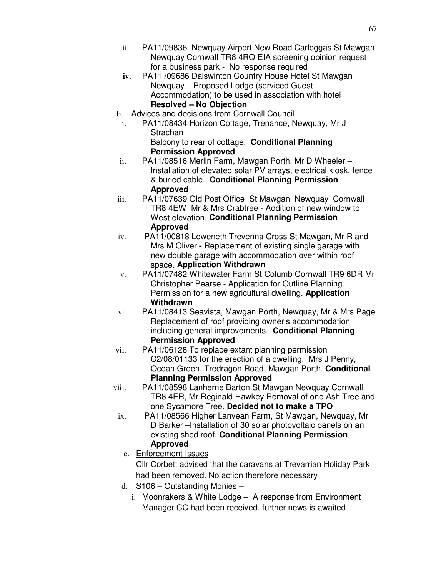- iii. PA11/09836 Newquay Airport New Road Carloggas St Mawgan Newquay Cornwall TR8 4RQ EIA screening opinion request for a business park - No response required
- **iv.** PA11 /09686 Dalswinton Country House Hotel St Mawgan Newquay – Proposed Lodge (serviced Guest Accommodation) to be used in association with hotel **Resolved – No Objection**
- b. Advices and decisions from Cornwall Council
	- i. PA11/08434 Horizon Cottage, Trenance, Newquay, Mr J **Strachan** 
		- Balcony to rear of cottage. **Conditional Planning Permission Approved**
- ii. PA11/08516 Merlin Farm, Mawgan Porth, Mr D Wheeler Installation of elevated solar PV arrays, electrical kiosk, fence & buried cable. **Conditional Planning Permission Approved**
- iii. PA11/07639 Old Post Office St Mawgan Newquay Cornwall TR8 4EW Mr & Mrs Crabtree - Addition of new window to West elevation. **Conditional Planning Permission Approved**
- iv. PA11/00818 Loweneth Trevenna Cross St Mawgan**,** Mr R and Mrs M Oliver **-** Replacement of existing single garage with new double garage with accommodation over within roof space. **Application Withdrawn**
- v. PA11/07482 Whitewater Farm St Columb Cornwall TR9 6DR Mr Christopher Pearse - Application for Outline Planning Permission for a new agricultural dwelling. **Application Withdrawn**
- vi. PA11/08413 Seavista, Mawgan Porth, Newquay, Mr & Mrs Page Replacement of roof providing owner's accommodation including general improvements. **Conditional Planning Permission Approved**
- vii. PA11/06128 To replace extant planning permission C2/08/01133 for the erection of a dwelling. Mrs J Penny, Ocean Green, Tredragon Road, Mawgan Porth. **Conditional Planning Permission Approved**
- viii. PA11/08598 Lanherne Barton St Mawgan Newquay Cornwall TR8 4ER, Mr Reginald Hawkey Removal of one Ash Tree and one Sycamore Tree. **Decided not to make a TPO**
- ix. PA11/08566 Higher Lanvean Farm, St Mawgan, Newquay, Mr D Barker –Installation of 30 solar photovoltaic panels on an existing shed roof. **Conditional Planning Permission Approved**
	- c. Enforcement Issues Cllr Corbett advised that the caravans at Trevarrian Holiday Park had been removed. No action therefore necessary
- d. S106 Outstanding Monies
	- i. Moonrakers & White Lodge A response from Environment Manager CC had been received, further news is awaited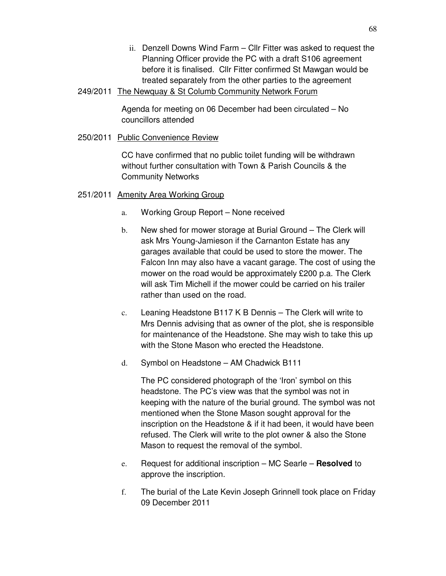- ii. Denzell Downs Wind Farm Cllr Fitter was asked to request the Planning Officer provide the PC with a draft S106 agreement before it is finalised. Cllr Fitter confirmed St Mawgan would be treated separately from the other parties to the agreement
- 249/2011 The Newquay & St Columb Community Network Forum

Agenda for meeting on 06 December had been circulated – No councillors attended

250/2011 Public Convenience Review

CC have confirmed that no public toilet funding will be withdrawn without further consultation with Town & Parish Councils & the Community Networks

## 251/2011 Amenity Area Working Group

- a. Working Group Report None received
- b. New shed for mower storage at Burial Ground The Clerk will ask Mrs Young-Jamieson if the Carnanton Estate has any garages available that could be used to store the mower. The Falcon Inn may also have a vacant garage. The cost of using the mower on the road would be approximately £200 p.a. The Clerk will ask Tim Michell if the mower could be carried on his trailer rather than used on the road.
- c. Leaning Headstone B117 K B Dennis The Clerk will write to Mrs Dennis advising that as owner of the plot, she is responsible for maintenance of the Headstone. She may wish to take this up with the Stone Mason who erected the Headstone.
- d. Symbol on Headstone AM Chadwick B111

The PC considered photograph of the 'Iron' symbol on this headstone. The PC's view was that the symbol was not in keeping with the nature of the burial ground. The symbol was not mentioned when the Stone Mason sought approval for the inscription on the Headstone & if it had been, it would have been refused. The Clerk will write to the plot owner & also the Stone Mason to request the removal of the symbol.

- e. Request for additional inscription MC Searle **Resolved** to approve the inscription.
- f. The burial of the Late Kevin Joseph Grinnell took place on Friday 09 December 2011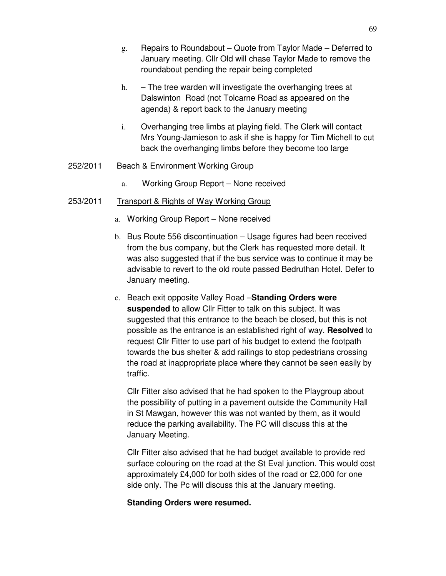- g. Repairs to Roundabout Quote from Taylor Made Deferred to January meeting. Cllr Old will chase Taylor Made to remove the roundabout pending the repair being completed
- h.  $-$  The tree warden will investigate the overhanging trees at Dalswinton Road (not Tolcarne Road as appeared on the agenda) & report back to the January meeting
- i. Overhanging tree limbs at playing field. The Clerk will contact Mrs Young-Jamieson to ask if she is happy for Tim Michell to cut back the overhanging limbs before they become too large

#### 252/2011 Beach & Environment Working Group

a. Working Group Report – None received

## 253/2011 Transport & Rights of Way Working Group

- a. Working Group Report None received
- b. Bus Route 556 discontinuation Usage figures had been received from the bus company, but the Clerk has requested more detail. It was also suggested that if the bus service was to continue it may be advisable to revert to the old route passed Bedruthan Hotel. Defer to January meeting.
- c. Beach exit opposite Valley Road –**Standing Orders were suspended** to allow Cllr Fitter to talk on this subject. It was suggested that this entrance to the beach be closed, but this is not possible as the entrance is an established right of way. **Resolved** to request Cllr Fitter to use part of his budget to extend the footpath towards the bus shelter & add railings to stop pedestrians crossing the road at inappropriate place where they cannot be seen easily by traffic.

Cllr Fitter also advised that he had spoken to the Playgroup about the possibility of putting in a pavement outside the Community Hall in St Mawgan, however this was not wanted by them, as it would reduce the parking availability. The PC will discuss this at the January Meeting.

Cllr Fitter also advised that he had budget available to provide red surface colouring on the road at the St Eval junction. This would cost approximately £4,000 for both sides of the road or £2,000 for one side only. The Pc will discuss this at the January meeting.

#### **Standing Orders were resumed.**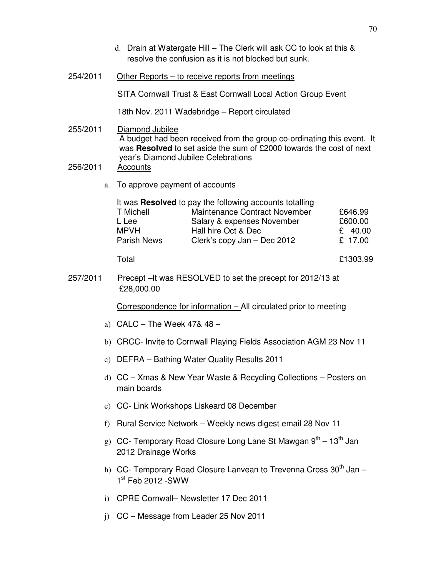|                                                                                                                                                                                                                   |                                                                                                 | d. Drain at Watergate Hill – The Clerk will ask CC to look at this &<br>resolve the confusion as it is not blocked but sunk.                                                                                                     |                                          |  |  |
|-------------------------------------------------------------------------------------------------------------------------------------------------------------------------------------------------------------------|-------------------------------------------------------------------------------------------------|----------------------------------------------------------------------------------------------------------------------------------------------------------------------------------------------------------------------------------|------------------------------------------|--|--|
| 254/2011                                                                                                                                                                                                          |                                                                                                 | <u> Other Reports – to receive reports from meetings</u>                                                                                                                                                                         |                                          |  |  |
|                                                                                                                                                                                                                   |                                                                                                 | SITA Cornwall Trust & East Cornwall Local Action Group Event                                                                                                                                                                     |                                          |  |  |
|                                                                                                                                                                                                                   |                                                                                                 | 18th Nov. 2011 Wadebridge - Report circulated                                                                                                                                                                                    |                                          |  |  |
| 255/2011<br>256/2011                                                                                                                                                                                              |                                                                                                 | Diamond Jubilee<br>A budget had been received from the group co-ordinating this event. It<br>was Resolved to set aside the sum of £2000 towards the cost of next<br>year's Diamond Jubilee Celebrations<br><b>Accounts</b>       |                                          |  |  |
|                                                                                                                                                                                                                   | To approve payment of accounts<br>a.                                                            |                                                                                                                                                                                                                                  |                                          |  |  |
|                                                                                                                                                                                                                   |                                                                                                 | It was Resolved to pay the following accounts totalling<br>Maintenance Contract November<br>T Michell<br>L Lee<br>Salary & expenses November<br><b>MPVH</b><br>Hall hire Oct & Dec<br>Parish News<br>Clerk's copy Jan - Dec 2012 | £646.99<br>£600.00<br>£ 40.00<br>£ 17.00 |  |  |
|                                                                                                                                                                                                                   |                                                                                                 | Total                                                                                                                                                                                                                            | £1303.99                                 |  |  |
| 257/2011                                                                                                                                                                                                          |                                                                                                 | <b>Precept-It was RESOLVED to set the precept for 2012/13 at</b><br>£28,000.00                                                                                                                                                   |                                          |  |  |
| a) $CALC - The Week 47& 48 -$<br>c) DEFRA - Bathing Water Quality Results 2011<br>d) CC - Xmas & New Year Waste & Recycling Collections - Posters on<br>main boards<br>e) CC- Link Workshops Liskeard 08 December |                                                                                                 | Correspondence for information - All circulated prior to meeting                                                                                                                                                                 |                                          |  |  |
|                                                                                                                                                                                                                   |                                                                                                 |                                                                                                                                                                                                                                  |                                          |  |  |
|                                                                                                                                                                                                                   |                                                                                                 | b) CRCC- Invite to Cornwall Playing Fields Association AGM 23 Nov 11                                                                                                                                                             |                                          |  |  |
|                                                                                                                                                                                                                   |                                                                                                 |                                                                                                                                                                                                                                  |                                          |  |  |
|                                                                                                                                                                                                                   |                                                                                                 |                                                                                                                                                                                                                                  |                                          |  |  |
|                                                                                                                                                                                                                   |                                                                                                 |                                                                                                                                                                                                                                  |                                          |  |  |
|                                                                                                                                                                                                                   | Rural Service Network - Weekly news digest email 28 Nov 11<br>f)                                |                                                                                                                                                                                                                                  |                                          |  |  |
|                                                                                                                                                                                                                   | g) CC- Temporary Road Closure Long Lane St Mawgan $9^{th} - 13^{th}$ Jan<br>2012 Drainage Works |                                                                                                                                                                                                                                  |                                          |  |  |
|                                                                                                                                                                                                                   |                                                                                                 | h) CC- Temporary Road Closure Lanvean to Trevenna Cross $30th$ Jan –<br>$1st$ Feb 2012 -SWW                                                                                                                                      |                                          |  |  |
|                                                                                                                                                                                                                   | CPRE Cornwall- Newsletter 17 Dec 2011<br>i)                                                     |                                                                                                                                                                                                                                  |                                          |  |  |
|                                                                                                                                                                                                                   | i)                                                                                              | CC – Message from Leader 25 Nov 2011                                                                                                                                                                                             |                                          |  |  |